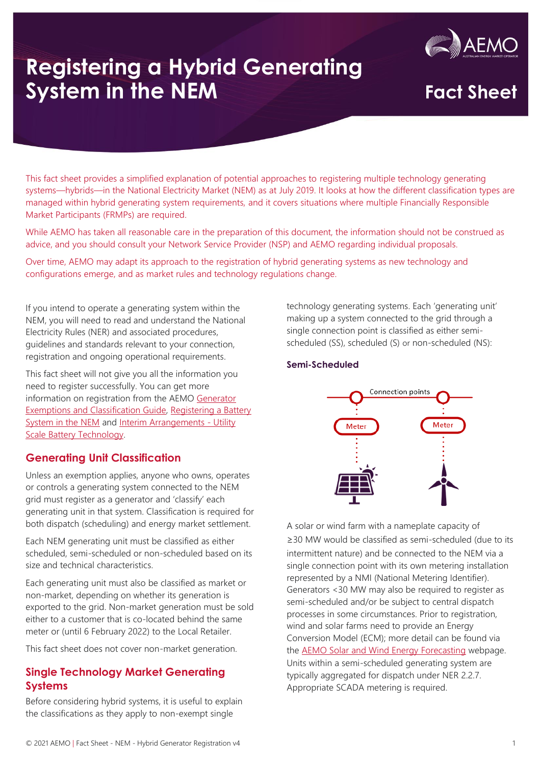

This fact sheet provides a simplified explanation of potential approaches to registering multiple technology generating systems—hybrids—in the National Electricity Market (NEM) as at July 2019. It looks at how the different classification types are managed within hybrid generating system requirements, and it covers situations where multiple Financially Responsible Market Participants (FRMPs) are required.

While AEMO has taken all reasonable care in the preparation of this document, the information should not be construed as advice, and you should consult your Network Service Provider (NSP) and AEMO regarding individual proposals.

Over time, AEMO may adapt its approach to the registration of hybrid generating systems as new technology and configurations emerge, and as market rules and technology regulations change.

If you intend to operate a generating system within the NEM, you will need to read and understand the National Electricity Rules (NER) and associated procedures, guidelines and standards relevant to your connection, registration and ongoing operational requirements.

This fact sheet will not give you all the information you need to register successfully. You can get more information on registration from the AEMO [Generator](https://www.aemo.com.au/-/media/files/electricity/nem/participant_information/new-participants/generator-exemption-and-classification-guide.pdf?la=en)  [Exemptions and Classification Guide,](https://www.aemo.com.au/-/media/files/electricity/nem/participant_information/new-participants/generator-exemption-and-classification-guide.pdf?la=en) [Registering a Battery](https://www.aemo.com.au/-/media/files/electricity/nem/participant_information/new-participants/registering-a-battery-system-in-the-nem.pdf?la=en)  [System in the NEM](https://www.aemo.com.au/-/media/files/electricity/nem/participant_information/new-participants/registering-a-battery-system-in-the-nem.pdf?la=en) and [Interim Arrangements -](https://www.aemo.com.au/-/media/files/electricity/nem/participant_information/new-participants/interim-arrangements-for-utility-scale-battery-technology.docx) Utility [Scale Battery Technology.](https://www.aemo.com.au/-/media/files/electricity/nem/participant_information/new-participants/interim-arrangements-for-utility-scale-battery-technology.docx)

## **Generating Unit Classification**

Unless an exemption applies, anyone who owns, operates or controls a generating system connected to the NEM grid must register as a generator and 'classify' each generating unit in that system. Classification is required for both dispatch (scheduling) and energy market settlement.

Each NEM generating unit must be classified as either scheduled, semi-scheduled or non-scheduled based on its size and technical characteristics.

Each generating unit must also be classified as market or non-market, depending on whether its generation is exported to the grid. Non-market generation must be sold either to a customer that is co-located behind the same meter or (until 6 February 2022) to the Local Retailer.

This fact sheet does not cover non-market generation.

## **Single Technology Market Generating Systems**

Before considering hybrid systems, it is useful to explain the classifications as they apply to non-exempt single

technology generating systems. Each 'generating unit' making up a system connected to the grid through a single connection point is classified as either semischeduled (SS), scheduled (S) or non-scheduled (NS):

### **Semi-Scheduled**



A solar or wind farm with a nameplate capacity of ≥30 MW would be classified as semi-scheduled (due to its intermittent nature) and be connected to the NEM via a single connection point with its own metering installation represented by a NMI (National Metering Identifier). Generators <30 MW may also be required to register as semi-scheduled and/or be subject to central dispatch processes in some circumstances. Prior to registration, wind and solar farms need to provide an Energy Conversion Model (ECM); more detail can be found via the [AEMO Solar and Wind Energy](https://aemo.com.au/en/energy-systems/electricity/national-electricity-market-nem/nem-forecasting-and-planning/operational-forecasting/solar-and-wind-energy-forecasting#:~:text=Forecasts%20of%20intermittent%20generation%20are,both%20solar%20and%20wind%20power%3A&text=Australian%20Wind%20Energy%20Forecasting%20System%20(AWEFS)) Forecasting webpage. Units within a semi-scheduled generating system are typically aggregated for dispatch under NER 2.2.7. Appropriate SCADA metering is required.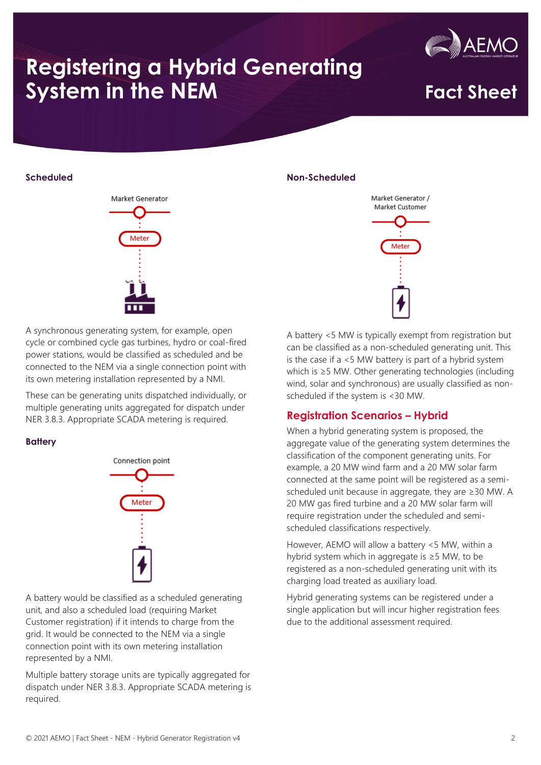

## **Scheduled**



A synchronous generating system, for example, open cycle or combined cycle gas turbines, hydro or coal-fired power stations, would be classified as scheduled and be connected to the NEM via a single connection point with its own metering installation represented by a NMI.

These can be generating units dispatched individually, or multiple generating units aggregated for dispatch under NER 3.8.3. Appropriate SCADA metering is required.

### **Battery**



A battery would be classified as a scheduled generating unit, and also a scheduled load (requiring Market Customer registration) if it intends to charge from the grid. It would be connected to the NEM via a single connection point with its own metering installation represented by a NMI.

Multiple battery storage units are typically aggregated for dispatch under NER 3.8.3. Appropriate SCADA metering is required.

### **Non-Scheduled**



A battery <5 MW is typically exempt from registration but can be classified as a non-scheduled generating unit. This is the case if a <5 MW battery is part of a hybrid system which is ≥5 MW. Other generating technologies (including wind, solar and synchronous) are usually classified as nonscheduled if the system is <30 MW.

## **Registration Scenarios – Hybrid**

When a hybrid generating system is proposed, the aggregate value of the generating system determines the classification of the component generating units. For example, a 20 MW wind farm and a 20 MW solar farm connected at the same point will be registered as a semischeduled unit because in aggregate, they are ≥30 MW. A 20 MW gas fired turbine and a 20 MW solar farm will require registration under the scheduled and semischeduled classifications respectively.

However, AEMO will allow a battery <5 MW, within a hybrid system which in aggregate is ≥5 MW, to be registered as a non-scheduled generating unit with its charging load treated as auxiliary load.

Hybrid generating systems can be registered under a single application but will incur higher registration fees due to the additional assessment required.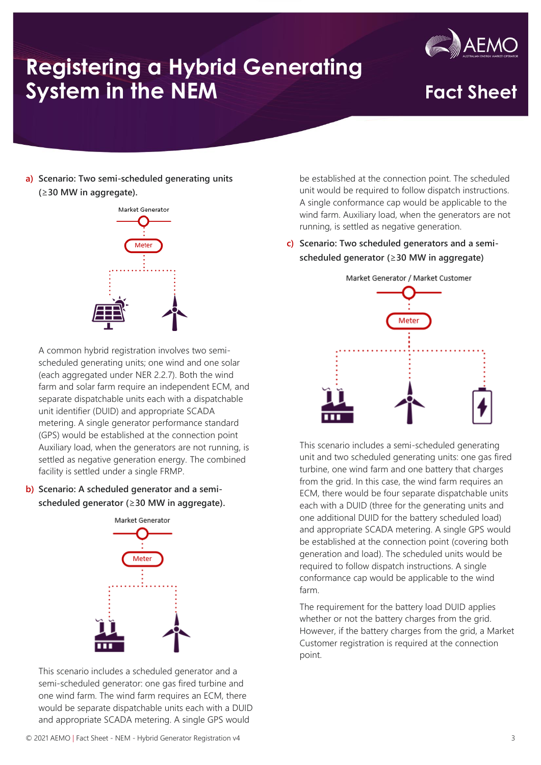

**a) Scenario: Two semi-scheduled generating units (**≥**30 MW in aggregate).**



A common hybrid registration involves two semischeduled generating units; one wind and one solar (each aggregated under NER 2.2.7). Both the wind farm and solar farm require an independent ECM, and separate dispatchable units each with a dispatchable unit identifier (DUID) and appropriate SCADA metering. A single generator performance standard (GPS) would be established at the connection point Auxiliary load, when the generators are not running, is settled as negative generation energy. The combined facility is settled under a single FRMP.

**b) Scenario: A scheduled generator and a semischeduled generator (**≥**30 MW in aggregate).**



This scenario includes a scheduled generator and a semi-scheduled generator: one gas fired turbine and one wind farm. The wind farm requires an ECM, there would be separate dispatchable units each with a DUID and appropriate SCADA metering. A single GPS would

be established at the connection point. The scheduled unit would be required to follow dispatch instructions. A single conformance cap would be applicable to the wind farm. Auxiliary load, when the generators are not running, is settled as negative generation.

**c) Scenario: Two scheduled generators and a semischeduled generator (**≥**30 MW in aggregate)**



This scenario includes a semi-scheduled generating unit and two scheduled generating units: one gas fired turbine, one wind farm and one battery that charges from the grid. In this case, the wind farm requires an ECM, there would be four separate dispatchable units each with a DUID (three for the generating units and one additional DUID for the battery scheduled load) and appropriate SCADA metering. A single GPS would be established at the connection point (covering both generation and load). The scheduled units would be required to follow dispatch instructions. A single conformance cap would be applicable to the wind farm.

The requirement for the battery load DUID applies whether or not the battery charges from the grid. However, if the battery charges from the grid, a Market Customer registration is required at the connection point.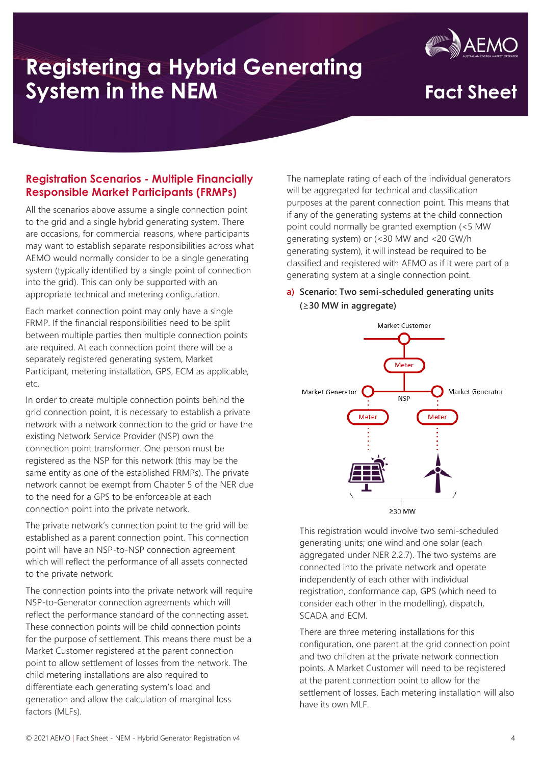

## **Registration Scenarios - Multiple Financially Responsible Market Participants (FRMPs)**

All the scenarios above assume a single connection point to the grid and a single hybrid generating system. There are occasions, for commercial reasons, where participants may want to establish separate responsibilities across what AEMO would normally consider to be a single generating system (typically identified by a single point of connection into the grid). This can only be supported with an appropriate technical and metering configuration.

Each market connection point may only have a single FRMP. If the financial responsibilities need to be split between multiple parties then multiple connection points are required. At each connection point there will be a separately registered generating system, Market Participant, metering installation, GPS, ECM as applicable, etc.

In order to create multiple connection points behind the grid connection point, it is necessary to establish a private network with a network connection to the grid or have the existing Network Service Provider (NSP) own the connection point transformer. One person must be registered as the NSP for this network (this may be the same entity as one of the established FRMPs). The private network cannot be exempt from Chapter 5 of the NER due to the need for a GPS to be enforceable at each connection point into the private network.

The private network's connection point to the grid will be established as a parent connection point. This connection point will have an NSP-to-NSP connection agreement which will reflect the performance of all assets connected to the private network.

The connection points into the private network will require NSP-to-Generator connection agreements which will reflect the performance standard of the connecting asset. These connection points will be child connection points for the purpose of settlement. This means there must be a Market Customer registered at the parent connection point to allow settlement of losses from the network. The child metering installations are also required to differentiate each generating system's load and generation and allow the calculation of marginal loss factors (MLFs).

The nameplate rating of each of the individual generators will be aggregated for technical and classification purposes at the parent connection point. This means that if any of the generating systems at the child connection point could normally be granted exemption (<5 MW generating system) or (<30 MW and <20 GW/h generating system), it will instead be required to be classified and registered with AEMO as if it were part of a generating system at a single connection point.

## **a) Scenario: Two semi-scheduled generating units (**≥**30 MW in aggregate)**



This registration would involve two semi-scheduled generating units; one wind and one solar (each aggregated under NER 2.2.7). The two systems are connected into the private network and operate independently of each other with individual registration, conformance cap, GPS (which need to consider each other in the modelling), dispatch, SCADA and ECM.

There are three metering installations for this configuration, one parent at the grid connection point and two children at the private network connection points. A Market Customer will need to be registered at the parent connection point to allow for the settlement of losses. Each metering installation will also have its own MLF.